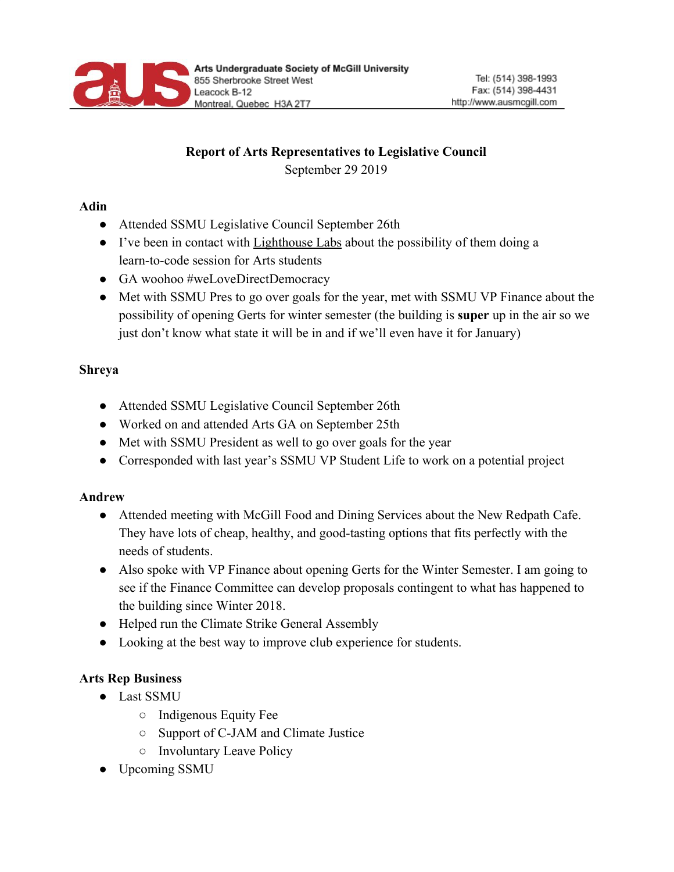

# **Report of Arts Representatives to Legislative Council**

September 29 2019

### **Adin**

- Attended SSMU Legislative Council September 26th
- I've been in contact with Lighthouse Labs about the possibility of them doing a learn-to-code session for Arts students
- GA woohoo #weLoveDirectDemocracy
- Met with SSMU Pres to go over goals for the year, met with SSMU VP Finance about the possibility of opening Gerts for winter semester (the building is **super** up in the air so we just don't know what state it will be in and if we'll even have it for January)

## **Shreya**

- Attended SSMU Legislative Council September 26th
- Worked on and attended Arts GA on September 25th
- Met with SSMU President as well to go over goals for the year
- Corresponded with last year's SSMU VP Student Life to work on a potential project

## **Andrew**

- Attended meeting with McGill Food and Dining Services about the New Redpath Cafe. They have lots of cheap, healthy, and good-tasting options that fits perfectly with the needs of students.
- Also spoke with VP Finance about opening Gerts for the Winter Semester. I am going to see if the Finance Committee can develop proposals contingent to what has happened to the building since Winter 2018.
- Helped run the Climate Strike General Assembly
- Looking at the best way to improve club experience for students.

# **Arts Rep Business**

- Last SSMU
	- Indigenous Equity Fee
	- Support of C-JAM and Climate Justice
	- Involuntary Leave Policy
- Upcoming SSMU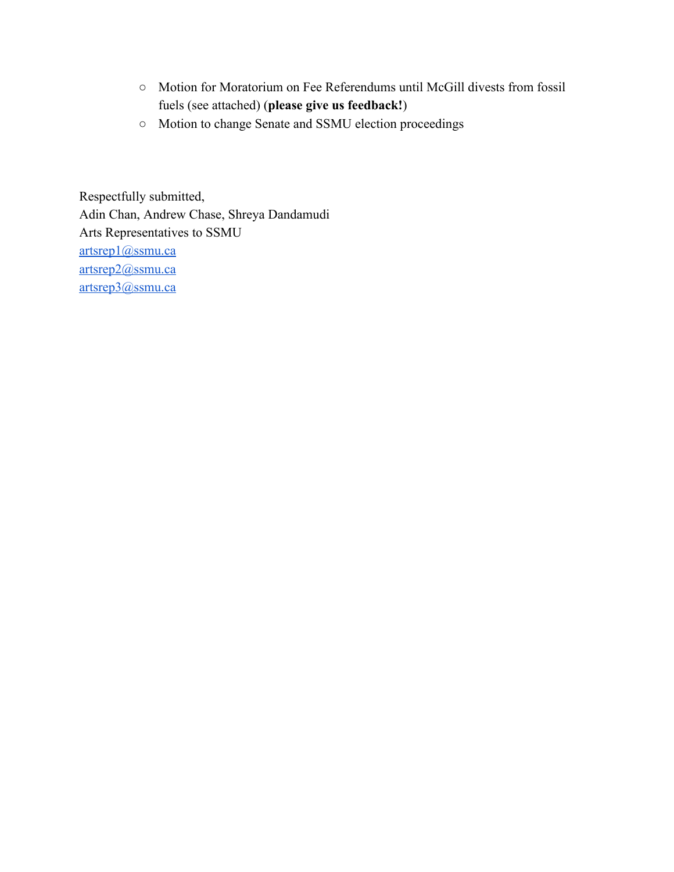- Motion for Moratorium on Fee Referendums until McGill divests from fossil fuels (see attached) (**please give us feedback!**)
- Motion to change Senate and SSMU election proceedings

Respectfully submitted, Adin Chan, Andrew Chase, Shreya Dandamudi Arts Representatives to SSMU [artsrep1@ssmu.ca](mailto:artsrep1@ssmu.ca) [artsrep2@ssmu.ca](mailto:artsrep1@ssmu.ca) [artsrep3@ssmu.ca](mailto:artsrep1@ssmu.ca)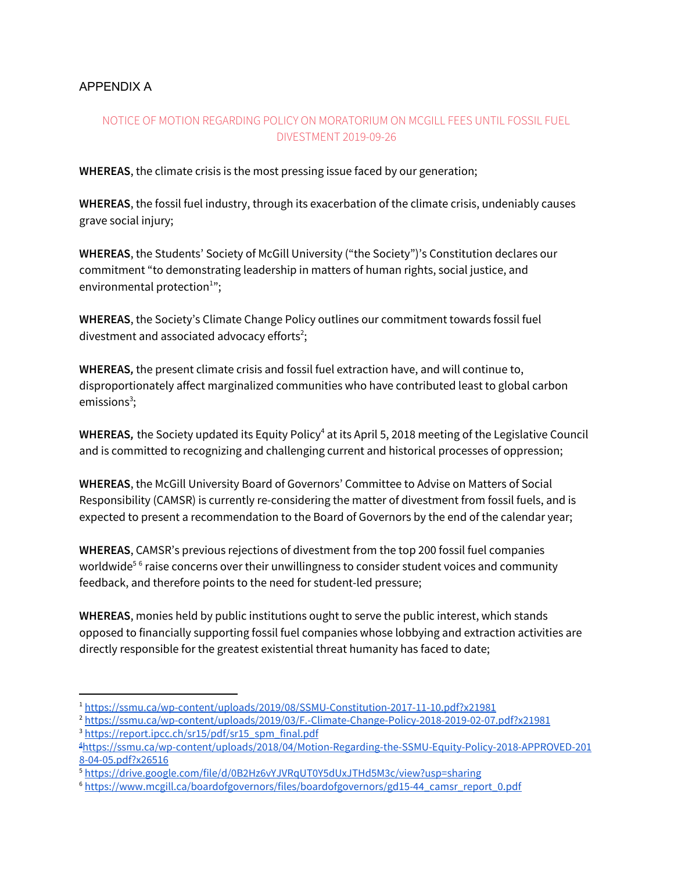#### APPENDIX A

### NOTICE OF MOTION REGARDING POLICY ON MORATORIUM ON MCGILL FEES UNTIL FOSSIL FUEL DIVESTMENT 2019-09-26

**WHEREAS**, the climate crisis is the most pressing issue faced by our generation;

**WHEREAS**, the fossil fuel industry, through its exacerbation of the climate crisis, undeniably causes grave social injury;

**WHEREAS**, the Students' Society of McGill University ("the Society")'s Constitution declares our commitment "to demonstrating leadership in matters of human rights, social justice, and environmental protection $1$ ";

**WHEREAS**, the Society's Climate Change Policy outlines our commitment towards fossil fuel divestment and associated advocacy efforts<sup>2</sup>;

**WHEREAS***,* the present climate crisis and fossil fuel extraction have, and will continue to, disproportionately affect marginalized communities who have contributed least to global carbon emissions<sup>3</sup>;

**WHEREAS,** the Society updated its Equity Policy<sup>4</sup> at its April 5, 2018 meeting of the Legislative Council and is committed to recognizing and challenging current and historical processes of oppression;

**WHEREAS**, the McGill University Board of Governors' Committee to Advise on Matters of Social Responsibility (CAMSR) is currently re-considering the matter of divestment from fossil fuels, and is expected to present a recommendation to the Board of Governors by the end of the calendar year;

**WHEREAS**, CAMSR's previous rejections of divestment from the top 200 fossil fuel companies worldwide $^{\rm 5~6}$  raise concerns over their unwillingness to consider student voices and community feedback, and therefore points to the need for student-led pressure;

**WHEREAS**, monies held by public institutions ought to serve the public interest, which stands opposed to financially supporting fossil fuel companies whose lobbying and extraction activities are directly responsible for the greatest existential threat humanity has faced to date;

<sup>1</sup> <https://ssmu.ca/wp-content/uploads/2019/08/SSMU-Constitution-2017-11-10.pdf?x21981>

<sup>2</sup> <https://ssmu.ca/wp-content/uploads/2019/03/F.-Climate-Change-Policy-2018-2019-02-07.pdf?x21981> <sup>3</sup> [https://report.ipcc.ch/sr15/pdf/sr15\\_spm\\_final.pdf](https://report.ipcc.ch/sr15/pdf/sr15_spm_final.pdf)

<sup>4</sup>[https://ssmu.ca/wp-content/uploads/2018/04/Motion-Regarding-the-SSMU-Equity-Policy-2018-APPROVED-201](https://ssmu.ca/wp-content/uploads/2018/04/Motion-Regarding-the-SSMU-Equity-Policy-2018-APPROVED-2018-04-05.pdf?x26516) [8-04-05.pdf?x26516](https://ssmu.ca/wp-content/uploads/2018/04/Motion-Regarding-the-SSMU-Equity-Policy-2018-APPROVED-2018-04-05.pdf?x26516)

<sup>5</sup> <https://drive.google.com/file/d/0B2Hz6vYJVRqUT0Y5dUxJTHd5M3c/view?usp=sharing>

<sup>6</sup> [https://www.mcgill.ca/boardofgovernors/files/boardofgovernors/gd15-44\\_camsr\\_report\\_0.pdf](https://www.mcgill.ca/boardofgovernors/files/boardofgovernors/gd15-44_camsr_report_0.pdf)